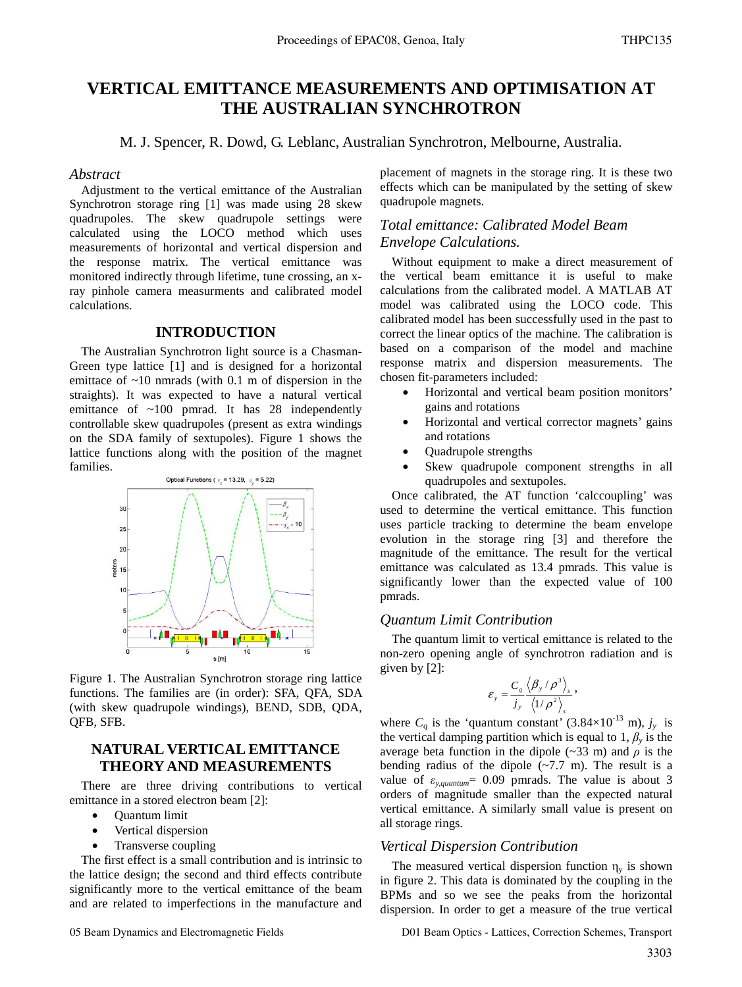# **VERTICAL EMITTANCE MEASUREMENTS AND OPTIMISATION AT THE AUSTRALIAN SYNCHROTRON**

M. J. Spencer, R. Dowd, G. Leblanc, Australian Synchrotron, Melbourne, Australia.

#### *Abstract*

Adjustment to the vertical emittance of the Australian Synchrotron storage ring [1] was made using 28 skew quadrupoles. The skew quadrupole settings were calculated using the LOCO method which uses measurements of horizontal and vertical dispersion and the response matrix. The vertical emittance was monitored indirectly through lifetime, tune crossing, an xray pinhole camera measurments and calibrated model calculations.

### **INTRODUCTION**

The Australian Synchrotron light source is a Chasman-Green type lattice [1] and is designed for a horizontal emittace of  $\sim$ 10 nmrads (with 0.1 m of dispersion in the straights). It was expected to have a natural vertical emittance of ~100 pmrad. It has 28 independently controllable skew quadrupoles (present as extra windings on the SDA family of sextupoles). Figure 1 shows the lattice functions along with the position of the magnet families.



Figure 1. The Australian Synchrotron storage ring lattice functions. The families are (in order): SFA, QFA, SDA (with skew quadrupole windings), BEND, SDB, QDA, QFB, SFB.

### **NATURAL VERTICAL EMITTANCE THEORY AND MEASUREMENTS**

There are three driving contributions to vertical emittance in a stored electron beam [2]:

- Quantum limit
- Vertical dispersion
- Transverse coupling

The first effect is a small contribution and is intrinsic to the lattice design; the second and third effects contribute significantly more to the vertical emittance of the beam and are related to imperfections in the manufacture and placement of magnets in the storage ring. It is these two effects which can be manipulated by the setting of skew quadrupole magnets.

# *Total emittance: Calibrated Model Beam Envelope Calculations.*

Without equipment to make a direct measurement of the vertical beam emittance it is useful to make calculations from the calibrated model. A MATLAB AT model was calibrated using the LOCO code. This calibrated model has been successfully used in the past to correct the linear optics of the machine. The calibration is based on a comparison of the model and machine response matrix and dispersion measurements. The chosen fit-parameters included:

- Horizontal and vertical beam position monitors' gains and rotations
- Horizontal and vertical corrector magnets' gains and rotations
- Quadrupole strengths
- Skew quadrupole component strengths in all quadrupoles and sextupoles.

Once calibrated, the AT function 'calccoupling' was used to determine the vertical emittance. This function uses particle tracking to determine the beam envelope evolution in the storage ring [3] and therefore the magnitude of the emittance. The result for the vertical emittance was calculated as 13.4 pmrads. This value is significantly lower than the expected value of 100 pmrads.

#### *Quantum Limit Contribution*

The quantum limit to vertical emittance is related to the non-zero opening angle of synchrotron radiation and is given by [2]:

$$
\varepsilon_{y} = \frac{C_{q}}{j_{y}} \frac{\langle \beta_{y} / \rho^{3} \rangle_{s}}{\langle 1 / \rho^{2} \rangle_{s}},
$$

where  $C_q$  is the 'quantum constant' (3.84×10<sup>-13</sup> m),  $j_y$  is the vertical damping partition which is equal to 1,  $\beta$ <sup>*y*</sup> is the average beta function in the dipole ( $\sim$ 33 m) and  $\rho$  is the bending radius of the dipole  $(-7.7 \text{ m})$ . The result is a value of  $\varepsilon_{y,quantum} = 0.09$  pmrads. The value is about 3 orders of magnitude smaller than the expected natural vertical emittance. A similarly small value is present on all storage rings.

#### *Vertical Dispersion Contribution*

The measured vertical dispersion function  $\eta_y$  is shown in figure 2. This data is dominated by the coupling in the BPMs and so we see the peaks from the horizontal dispersion. In order to get a measure of the true vertical

05 Beam Dynamics and Electromagnetic Fields D01 Beam Optics - Lattices, Correction Schemes, Transport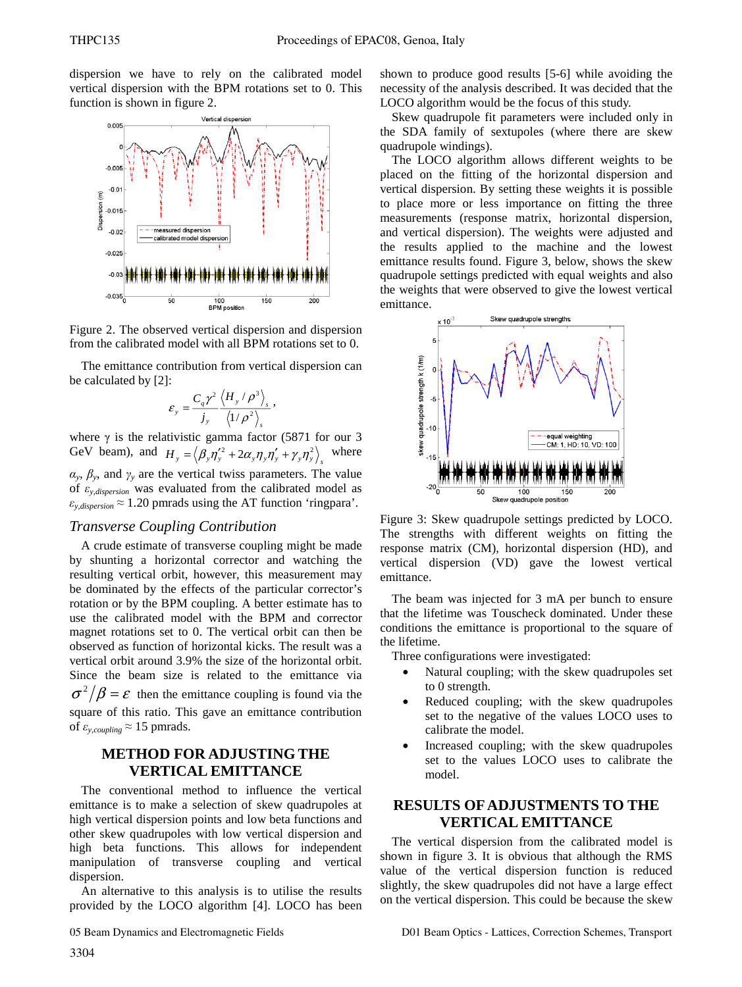dispersion we have to rely on the calibrated model vertical dispersion with the BPM rotations set to 0. This function is shown in figure 2.





The emittance contribution from vertical dispersion can be calculated by [2]:

$$
\varepsilon_{y} = \frac{C_{q} \gamma^{2}}{j_{y}} \frac{\left\langle H_{y} / \rho^{3} \right\rangle_{s}}{\left\langle 1 / \rho^{2} \right\rangle_{s}},
$$

where  $\gamma$  is the relativistic gamma factor (5871 for our 3 GeV beam), and  $H_y = \langle \beta_y \eta_y'^2 + 2\alpha_y \eta_y \eta_y' + \gamma_y \eta_y \rangle_g$  where  $\alpha_y$ ,  $\beta_y$ , and  $\gamma_y$  are the vertical twiss parameters. The value of  $\varepsilon$ <sub>*y, dispersion* was evaluated from the calibrated model as</sub>  $\varepsilon_{y,dispersion} \approx 1.20$  pmrads using the AT function 'ringpara'.

### *Transverse Coupling Contribution*

A crude estimate of transverse coupling might be made by shunting a horizontal corrector and watching the resulting vertical orbit, however, this measurement may be dominated by the effects of the particular corrector's rotation or by the BPM coupling. A better estimate has to use the calibrated model with the BPM and corrector magnet rotations set to 0. The vertical orbit can then be observed as function of horizontal kicks. The result was a vertical orbit around 3.9% the size of the horizontal orbit. Since the beam size is related to the emittance via  $\sigma^2/\beta = \varepsilon$  then the emittance coupling is found via the square of this ratio. This gave an emittance contribution of  $\varepsilon_{y,coupling} \approx 15$  pmrads.

# **METHOD FOR ADJUSTING THE VERTICAL EMITTANCE**

The conventional method to influence the vertical emittance is to make a selection of skew quadrupoles at high vertical dispersion points and low beta functions and other skew quadrupoles with low vertical dispersion and high beta functions. This allows for independent manipulation of transverse coupling and vertical dispersion.

An alternative to this analysis is to utilise the results provided by the LOCO algorithm [4]. LOCO has been

shown to produce good results [5-6] while avoiding the necessity of the analysis described. It was decided that the LOCO algorithm would be the focus of this study.

Skew quadrupole fit parameters were included only in the SDA family of sextupoles (where there are skew quadrupole windings).

The LOCO algorithm allows different weights to be placed on the fitting of the horizontal dispersion and vertical dispersion. By setting these weights it is possible to place more or less importance on fitting the three measurements (response matrix, horizontal dispersion, and vertical dispersion). The weights were adjusted and the results applied to the machine and the lowest emittance results found. Figure 3, below, shows the skew quadrupole settings predicted with equal weights and also the weights that were observed to give the lowest vertical emittance.



Figure 3: Skew quadrupole settings predicted by LOCO. The strengths with different weights on fitting the response matrix (CM), horizontal dispersion (HD), and vertical dispersion (VD) gave the lowest vertical emittance.

The beam was injected for 3 mA per bunch to ensure that the lifetime was Touscheck dominated. Under these conditions the emittance is proportional to the square of the lifetime.

Three configurations were investigated:

- Natural coupling; with the skew quadrupoles set to 0 strength.
- Reduced coupling; with the skew quadrupoles set to the negative of the values LOCO uses to calibrate the model.
- Increased coupling; with the skew quadrupoles set to the values LOCO uses to calibrate the model.

# **RESULTS OF ADJUSTMENTS TO THE VERTICAL EMITTANCE**

The vertical dispersion from the calibrated model is shown in figure 3. It is obvious that although the RMS value of the vertical dispersion function is reduced slightly, the skew quadrupoles did not have a large effect on the vertical dispersion. This could be because the skew